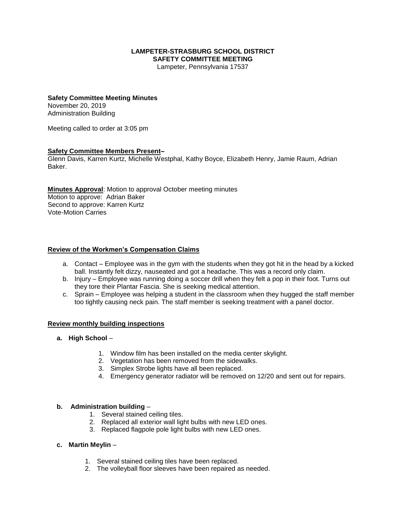#### **LAMPETER-STRASBURG SCHOOL DISTRICT SAFETY COMMITTEE MEETING**

Lampeter, Pennsylvania 17537

# **Safety Committee Meeting Minutes**

November 20, 2019 Administration Building

Meeting called to order at 3:05 pm

#### **Safety Committee Members Present–**

Glenn Davis, Karren Kurtz, Michelle Westphal, Kathy Boyce, Elizabeth Henry, Jamie Raum, Adrian Baker.

**Minutes Approval**: Motion to approval October meeting minutes Motion to approve: Adrian Baker Second to approve: Karren Kurtz Vote-Motion Carries

#### **Review of the Workmen's Compensation Claims**

- a. Contact Employee was in the gym with the students when they got hit in the head by a kicked ball. Instantly felt dizzy, nauseated and got a headache. This was a record only claim.
- b. Injury Employee was running doing a soccer drill when they felt a pop in their foot. Turns out they tore their Plantar Fascia. She is seeking medical attention.
- c. Sprain Employee was helping a student in the classroom when they hugged the staff member too tightly causing neck pain. The staff member is seeking treatment with a panel doctor.

#### **Review monthly building inspections**

- **a. High School**
	- 1. Window film has been installed on the media center skylight.
	- 2. Vegetation has been removed from the sidewalks.
	- 3. Simplex Strobe lights have all been replaced.
	- 4. Emergency generator radiator will be removed on 12/20 and sent out for repairs.

#### **b. Administration building** –

- 1. Several stained ceiling tiles.
- 2. Replaced all exterior wall light bulbs with new LED ones.
- 3. Replaced flagpole pole light bulbs with new LED ones.

#### **c. Martin Meylin** –

- 1. Several stained ceiling tiles have been replaced.
- 2. The volleyball floor sleeves have been repaired as needed.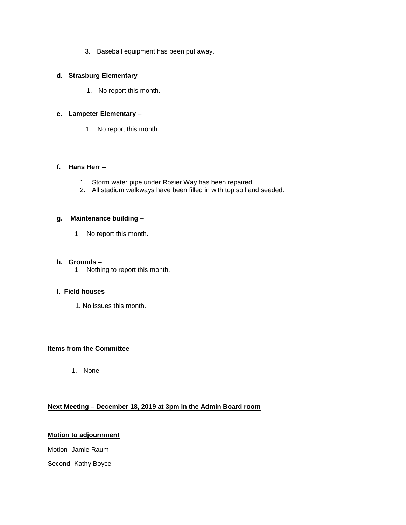3. Baseball equipment has been put away.

#### **d. Strasburg Elementary** –

1. No report this month.

#### **e. Lampeter Elementary –**

1. No report this month.

#### **f. Hans Herr –**

- 1. Storm water pipe under Rosier Way has been repaired.
- 2. All stadium walkways have been filled in with top soil and seeded.

#### **g. Maintenance building –**

1. No report this month.

#### **h. Grounds –**

1. Nothing to report this month.

# **l. Field houses** –

1. No issues this month.

# **Items from the Committee**

1. None

# **Next Meeting – December 18, 2019 at 3pm in the Admin Board room**

# **Motion to adjournment**

Motion- Jamie Raum

Second- Kathy Boyce